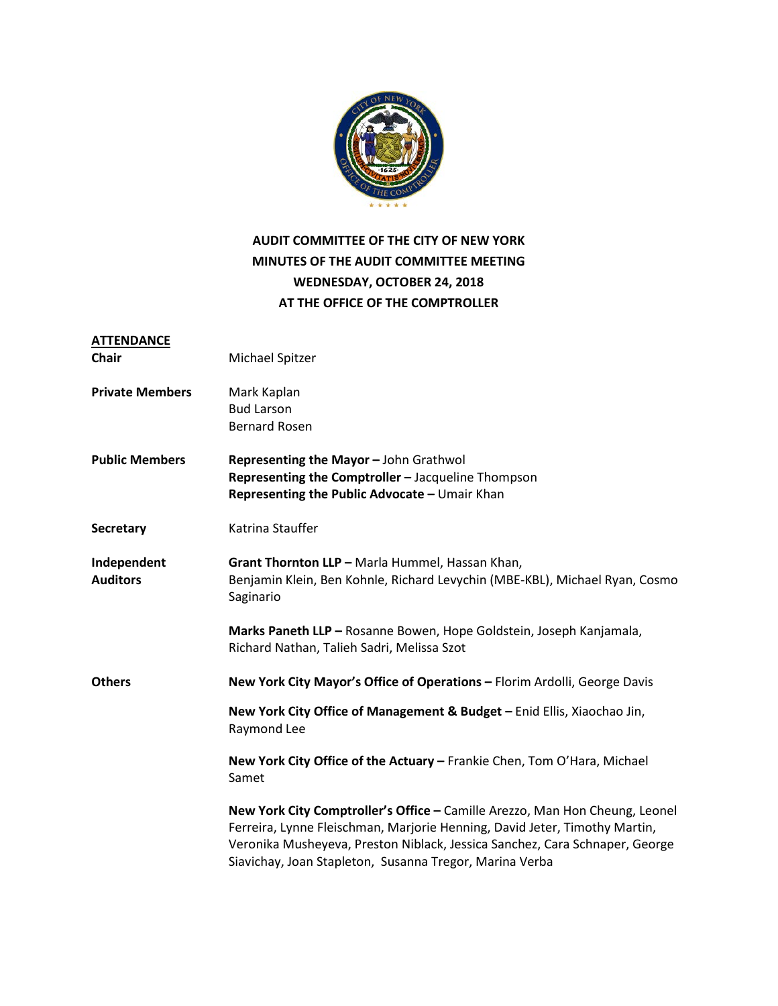

## **AUDIT COMMITTEE OF THE CITY OF NEW YORK MINUTES OF THE AUDIT COMMITTEE MEETING WEDNESDAY, OCTOBER 24, 2018 AT THE OFFICE OF THE COMPTROLLER**

| <b>ATTENDANCE</b>              |                                                                                                                                                                                                                                                                                                     |
|--------------------------------|-----------------------------------------------------------------------------------------------------------------------------------------------------------------------------------------------------------------------------------------------------------------------------------------------------|
| <b>Chair</b>                   | Michael Spitzer                                                                                                                                                                                                                                                                                     |
| <b>Private Members</b>         | Mark Kaplan<br><b>Bud Larson</b><br><b>Bernard Rosen</b>                                                                                                                                                                                                                                            |
| <b>Public Members</b>          | Representing the Mayor - John Grathwol<br>Representing the Comptroller - Jacqueline Thompson<br>Representing the Public Advocate - Umair Khan                                                                                                                                                       |
| <b>Secretary</b>               | Katrina Stauffer                                                                                                                                                                                                                                                                                    |
| Independent<br><b>Auditors</b> | Grant Thornton LLP - Marla Hummel, Hassan Khan,<br>Benjamin Klein, Ben Kohnle, Richard Levychin (MBE-KBL), Michael Ryan, Cosmo<br>Saginario                                                                                                                                                         |
|                                | Marks Paneth LLP - Rosanne Bowen, Hope Goldstein, Joseph Kanjamala,<br>Richard Nathan, Talieh Sadri, Melissa Szot                                                                                                                                                                                   |
| <b>Others</b>                  | New York City Mayor's Office of Operations - Florim Ardolli, George Davis                                                                                                                                                                                                                           |
|                                | New York City Office of Management & Budget - Enid Ellis, Xiaochao Jin,<br>Raymond Lee                                                                                                                                                                                                              |
|                                | New York City Office of the Actuary - Frankie Chen, Tom O'Hara, Michael<br>Samet                                                                                                                                                                                                                    |
|                                | New York City Comptroller's Office - Camille Arezzo, Man Hon Cheung, Leonel<br>Ferreira, Lynne Fleischman, Marjorie Henning, David Jeter, Timothy Martin,<br>Veronika Musheyeva, Preston Niblack, Jessica Sanchez, Cara Schnaper, George<br>Siavichay, Joan Stapleton, Susanna Tregor, Marina Verba |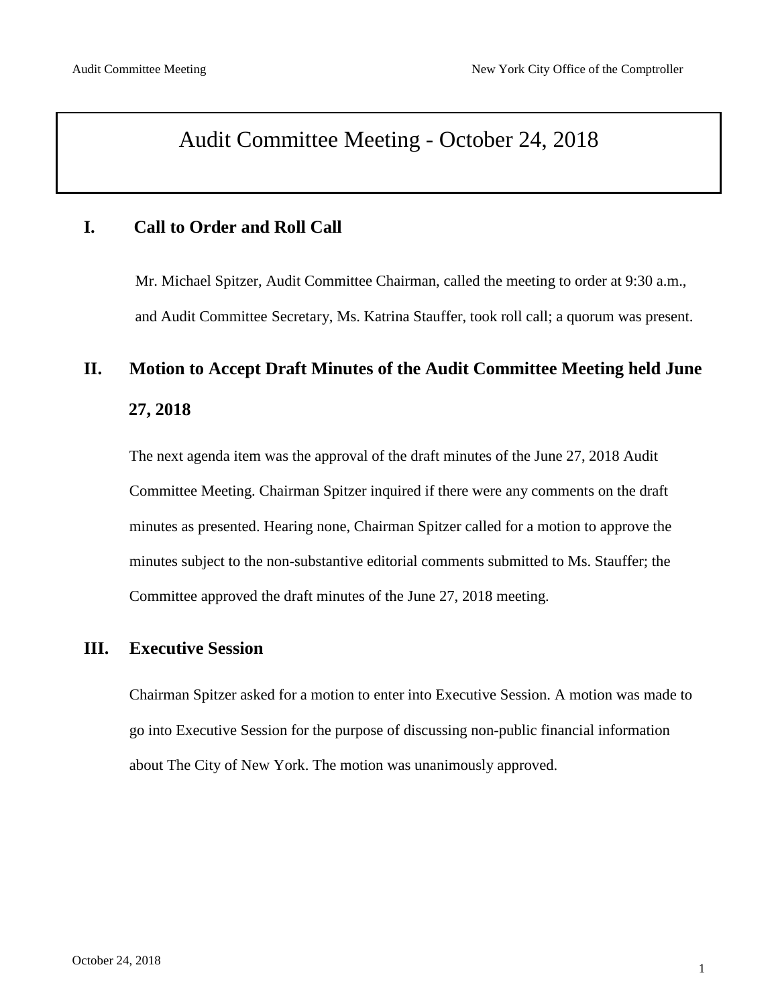# Audit Committee Meeting - October 24, 2018

### **I. Call to Order and Roll Call**

Mr. Michael Spitzer, Audit Committee Chairman, called the meeting to order at 9:30 a.m., and Audit Committee Secretary, Ms. Katrina Stauffer, took roll call; a quorum was present.

## **II. Motion to Accept Draft Minutes of the Audit Committee Meeting held June**

#### **27, 2018**

The next agenda item was the approval of the draft minutes of the June 27, 2018 Audit Committee Meeting. Chairman Spitzer inquired if there were any comments on the draft minutes as presented. Hearing none, Chairman Spitzer called for a motion to approve the minutes subject to the non-substantive editorial comments submitted to Ms. Stauffer; the Committee approved the draft minutes of the June 27, 2018 meeting.

#### **III. Executive Session**

Chairman Spitzer asked for a motion to enter into Executive Session. A motion was made to go into Executive Session for the purpose of discussing non-public financial information about The City of New York. The motion was unanimously approved.